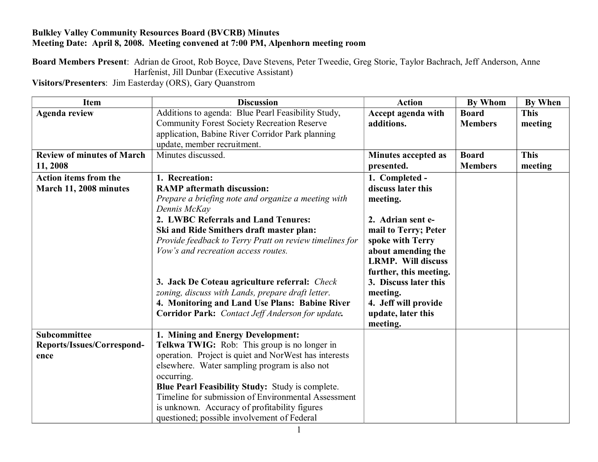## **Bulkley Valley Community Resources Board (BVCRB) Minutes Meeting Date: April 8, 2008. Meeting convened at 7:00 PM, Alpenhorn meeting room**

**Board Members Present**: Adrian de Groot, Rob Boyce, Dave Stevens, Peter Tweedie, Greg Storie, Taylor Bachrach, Jeff Anderson, Anne Harfenist, Jill Dunbar (Executive Assistant)

**Visitors/Presenters**: Jim Easterday (ORS), Gary Quanstrom

| <b>Item</b>                       | <b>Discussion</b>                                                   | <b>Action</b>             | <b>By Whom</b> | <b>By When</b> |
|-----------------------------------|---------------------------------------------------------------------|---------------------------|----------------|----------------|
| <b>Agenda review</b>              | Additions to agenda: Blue Pearl Feasibility Study,                  | Accept agenda with        | <b>Board</b>   | <b>This</b>    |
|                                   | Community Forest Society Recreation Reserve                         | additions.                | <b>Members</b> | meeting        |
|                                   | application, Babine River Corridor Park planning                    |                           |                |                |
|                                   | update, member recruitment.                                         |                           |                |                |
| <b>Review of minutes of March</b> | Minutes discussed.                                                  | Minutes accepted as       | <b>Board</b>   | <b>This</b>    |
| 11, 2008                          |                                                                     | presented.                | <b>Members</b> | meeting        |
| <b>Action items from the</b>      | 1. Recreation:                                                      | 1. Completed -            |                |                |
| March 11, 2008 minutes            | <b>RAMP</b> aftermath discussion:                                   | discuss later this        |                |                |
|                                   | Prepare a briefing note and organize a meeting with<br>Dennis McKay | meeting.                  |                |                |
|                                   | 2. LWBC Referrals and Land Tenures:                                 | 2. Adrian sent e-         |                |                |
|                                   | Ski and Ride Smithers draft master plan:                            | mail to Terry; Peter      |                |                |
|                                   | Provide feedback to Terry Pratt on review timelines for             | spoke with Terry          |                |                |
|                                   | Vow's and recreation access routes.                                 | about amending the        |                |                |
|                                   |                                                                     | <b>LRMP.</b> Will discuss |                |                |
|                                   |                                                                     | further, this meeting.    |                |                |
|                                   | 3. Jack De Coteau agriculture referral: Check                       | 3. Discuss later this     |                |                |
|                                   | zoning, discuss with Lands, prepare draft letter.                   | meeting.                  |                |                |
|                                   | 4. Monitoring and Land Use Plans: Babine River                      | 4. Jeff will provide      |                |                |
|                                   | Corridor Park: Contact Jeff Anderson for update.                    | update, later this        |                |                |
|                                   |                                                                     | meeting.                  |                |                |
| Subcommittee                      | 1. Mining and Energy Development:                                   |                           |                |                |
| Reports/Issues/Correspond-        | Telkwa TWIG: Rob: This group is no longer in                        |                           |                |                |
| ence                              | operation. Project is quiet and NorWest has interests               |                           |                |                |
|                                   | elsewhere. Water sampling program is also not                       |                           |                |                |
|                                   | occurring.                                                          |                           |                |                |
|                                   | Blue Pearl Feasibility Study: Study is complete.                    |                           |                |                |
|                                   | Timeline for submission of Environmental Assessment                 |                           |                |                |
|                                   | is unknown. Accuracy of profitability figures                       |                           |                |                |
|                                   | questioned; possible involvement of Federal                         |                           |                |                |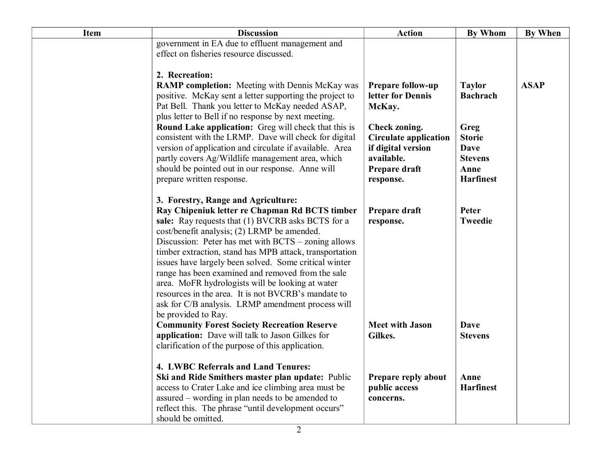| <b>Item</b> | <b>Discussion</b>                                                                                                                                                                                                                                                                                                                                                                                                                                                                                                                                                                                                | <b>Action</b>                                                                                            | <b>By Whom</b>                                            | <b>By When</b> |
|-------------|------------------------------------------------------------------------------------------------------------------------------------------------------------------------------------------------------------------------------------------------------------------------------------------------------------------------------------------------------------------------------------------------------------------------------------------------------------------------------------------------------------------------------------------------------------------------------------------------------------------|----------------------------------------------------------------------------------------------------------|-----------------------------------------------------------|----------------|
|             | government in EA due to effluent management and<br>effect on fisheries resource discussed.                                                                                                                                                                                                                                                                                                                                                                                                                                                                                                                       |                                                                                                          |                                                           |                |
|             | 2. Recreation:                                                                                                                                                                                                                                                                                                                                                                                                                                                                                                                                                                                                   |                                                                                                          |                                                           |                |
|             | <b>RAMP completion:</b> Meeting with Dennis McKay was<br>positive. McKay sent a letter supporting the project to<br>Pat Bell. Thank you letter to McKay needed ASAP,<br>plus letter to Bell if no response by next meeting.<br>Round Lake application: Greg will check that this is<br>consistent with the LRMP. Dave will check for digital                                                                                                                                                                                                                                                                     | <b>Prepare follow-up</b><br>letter for Dennis<br>McKay.<br>Check zoning.<br><b>Circulate application</b> | <b>Taylor</b><br><b>Bachrach</b><br>Greg<br><b>Storie</b> | <b>ASAP</b>    |
|             | version of application and circulate if available. Area<br>partly covers Ag/Wildlife management area, which<br>should be pointed out in our response. Anne will<br>prepare written response.                                                                                                                                                                                                                                                                                                                                                                                                                     | if digital version<br>available.<br>Prepare draft<br>response.                                           | <b>Dave</b><br><b>Stevens</b><br>Anne<br><b>Harfinest</b> |                |
|             | 3. Forestry, Range and Agriculture:<br>Ray Chipeniuk letter re Chapman Rd BCTS timber<br>sale: Ray requests that (1) BVCRB asks BCTS for a<br>cost/benefit analysis; (2) LRMP be amended.<br>Discussion: Peter has met with BCTS – zoning allows<br>timber extraction, stand has MPB attack, transportation<br>issues have largely been solved. Some critical winter<br>range has been examined and removed from the sale<br>area. MoFR hydrologists will be looking at water<br>resources in the area. It is not BVCRB's mandate to<br>ask for C/B analysis. LRMP amendment process will<br>be provided to Ray. | Prepare draft<br>response.                                                                               | Peter<br><b>Tweedie</b>                                   |                |
|             | <b>Community Forest Society Recreation Reserve</b><br>application: Dave will talk to Jason Gilkes for<br>clarification of the purpose of this application.                                                                                                                                                                                                                                                                                                                                                                                                                                                       | <b>Meet with Jason</b><br>Gilkes.                                                                        | <b>Dave</b><br><b>Stevens</b>                             |                |
|             | 4. LWBC Referrals and Land Tenures:<br>Ski and Ride Smithers master plan update: Public<br>access to Crater Lake and ice climbing area must be<br>assured – wording in plan needs to be amended to<br>reflect this. The phrase "until development occurs"<br>should be omitted.                                                                                                                                                                                                                                                                                                                                  | Prepare reply about<br>public access<br>concerns.                                                        | Anne<br><b>Harfinest</b>                                  |                |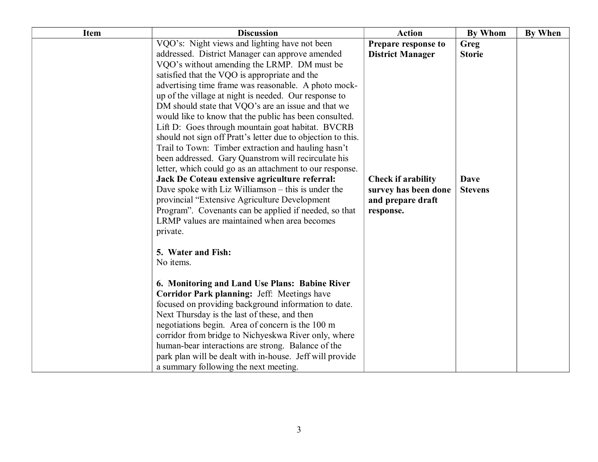| <b>Item</b> | <b>Discussion</b>                                                                                      | <b>Action</b>                             | <b>By Whom</b> | By When |
|-------------|--------------------------------------------------------------------------------------------------------|-------------------------------------------|----------------|---------|
|             | VQO's: Night views and lighting have not been                                                          | Prepare response to                       | <b>Greg</b>    |         |
|             | addressed. District Manager can approve amended                                                        | <b>District Manager</b>                   | <b>Storie</b>  |         |
|             | VQO's without amending the LRMP. DM must be                                                            |                                           |                |         |
|             | satisfied that the VQO is appropriate and the                                                          |                                           |                |         |
|             | advertising time frame was reasonable. A photo mock-                                                   |                                           |                |         |
|             | up of the village at night is needed. Our response to                                                  |                                           |                |         |
|             | DM should state that VQO's are an issue and that we                                                    |                                           |                |         |
|             | would like to know that the public has been consulted.                                                 |                                           |                |         |
|             | Lift D: Goes through mountain goat habitat. BVCRB                                                      |                                           |                |         |
|             | should not sign off Pratt's letter due to objection to this.                                           |                                           |                |         |
|             | Trail to Town: Timber extraction and hauling hasn't                                                    |                                           |                |         |
|             | been addressed. Gary Quanstrom will recirculate his                                                    |                                           |                |         |
|             | letter, which could go as an attachment to our response.                                               |                                           |                |         |
|             | Jack De Coteau extensive agriculture referral:<br>Dave spoke with Liz Williamson $-$ this is under the | <b>Check if arability</b>                 | <b>Dave</b>    |         |
|             | provincial "Extensive Agriculture Development                                                          | survey has been done<br>and prepare draft | <b>Stevens</b> |         |
|             | Program". Covenants can be applied if needed, so that                                                  | response.                                 |                |         |
|             | LRMP values are maintained when area becomes                                                           |                                           |                |         |
|             | private.                                                                                               |                                           |                |         |
|             |                                                                                                        |                                           |                |         |
|             | 5. Water and Fish:                                                                                     |                                           |                |         |
|             | No items.                                                                                              |                                           |                |         |
|             | 6. Monitoring and Land Use Plans: Babine River                                                         |                                           |                |         |
|             | Corridor Park planning: Jeff: Meetings have                                                            |                                           |                |         |
|             | focused on providing background information to date.                                                   |                                           |                |         |
|             | Next Thursday is the last of these, and then                                                           |                                           |                |         |
|             | negotiations begin. Area of concern is the 100 m                                                       |                                           |                |         |
|             | corridor from bridge to Nichyeskwa River only, where                                                   |                                           |                |         |
|             | human-bear interactions are strong. Balance of the                                                     |                                           |                |         |
|             | park plan will be dealt with in-house. Jeff will provide                                               |                                           |                |         |
|             | a summary following the next meeting.                                                                  |                                           |                |         |